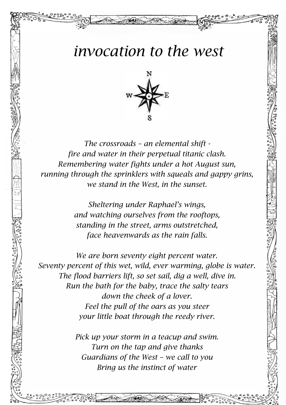## *invocation to the west*



*The crossroads – an elemental shift fire and water in their perpetual titanic clash. Remembering water fights under a hot August sun, running through the sprinklers with squeals and gappy grins, we stand in the West, in the sunset.*

> *Sheltering under Raphael's wings, and watching ourselves from the rooftops, standing in the street, arms outstretched, face heavenwards as the rain falls.*

*We are born seventy eight percent water. Seventy percent of this wet, wild, ever warming, globe is water. The flood barriers lift, so set sail, dig a well, dive in. Run the bath for the baby, trace the salty tears down the cheek of a lover. Feel the pull of the oars as you steer your little boat through the reedy river.*

> *Pick up your storm in a teacup and swim. Turn on the tap and give thanks Guardians of the West – we call to you Bring us the instinct of water*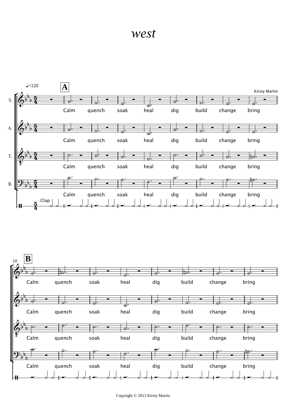## *west*

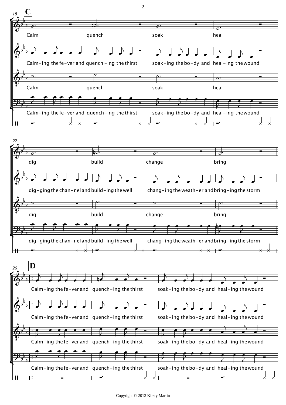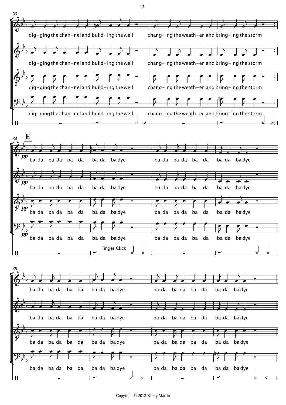

3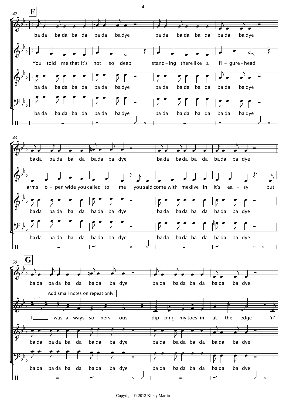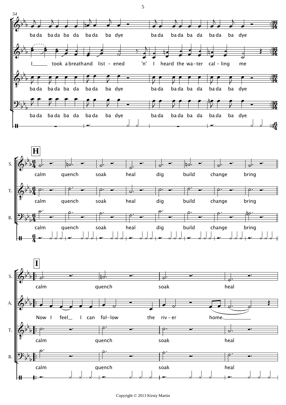